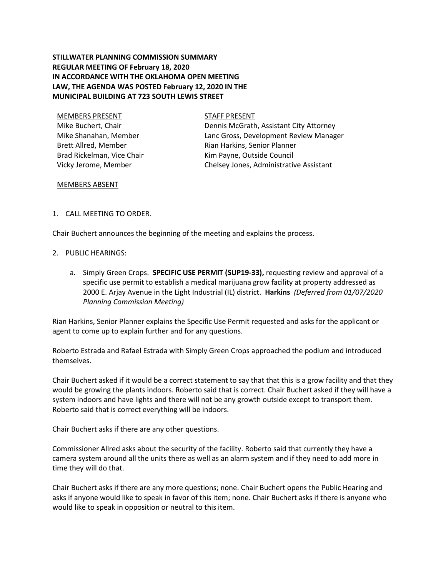# **STILLWATER PLANNING COMMISSION SUMMARY REGULAR MEETING OF February 18, 2020 IN ACCORDANCE WITH THE OKLAHOMA OPEN MEETING LAW, THE AGENDA WAS POSTED February 12, 2020 IN THE MUNICIPAL BUILDING AT 723 SOUTH LEWIS STREET**

MEMBERS PRESENT STAFF PRESENT Mike Buchert, Chair Mike Shanahan, Member Brett Allred, Member Brad Rickelman, Vice Chair Vicky Jerome, Member

Dennis McGrath, Assistant City Attorney Lanc Gross, Development Review Manager Rian Harkins, Senior Planner Kim Payne, Outside Council Chelsey Jones, Administrative Assistant

### MEMBERS ABSENT

## 1. CALL MEETING TO ORDER.

Chair Buchert announces the beginning of the meeting and explains the process.

### 2. PUBLIC HEARINGS:

a. Simply Green Crops. **SPECIFIC USE PERMIT (SUP19-33),** requesting review and approval of a specific use permit to establish a medical marijuana grow facility at property addressed as 2000 E. Arjay Avenue in the Light Industrial (IL) district. **Harkins** *(Deferred from 01/07/2020 Planning Commission Meeting)*

Rian Harkins, Senior Planner explains the Specific Use Permit requested and asks for the applicant or agent to come up to explain further and for any questions.

Roberto Estrada and Rafael Estrada with Simply Green Crops approached the podium and introduced themselves.

Chair Buchert asked if it would be a correct statement to say that that this is a grow facility and that they would be growing the plants indoors. Roberto said that is correct. Chair Buchert asked if they will have a system indoors and have lights and there will not be any growth outside except to transport them. Roberto said that is correct everything will be indoors.

Chair Buchert asks if there are any other questions.

Commissioner Allred asks about the security of the facility. Roberto said that currently they have a camera system around all the units there as well as an alarm system and if they need to add more in time they will do that.

Chair Buchert asks if there are any more questions; none. Chair Buchert opens the Public Hearing and asks if anyone would like to speak in favor of this item; none. Chair Buchert asks if there is anyone who would like to speak in opposition or neutral to this item.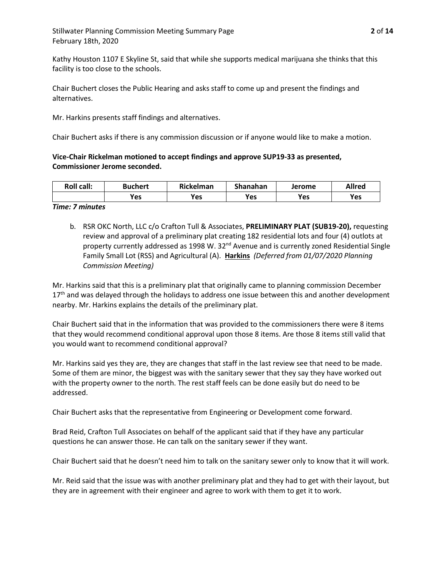Kathy Houston 1107 E Skyline St, said that while she supports medical marijuana she thinks that this facility is too close to the schools.

Chair Buchert closes the Public Hearing and asks staff to come up and present the findings and alternatives.

Mr. Harkins presents staff findings and alternatives.

Chair Buchert asks if there is any commission discussion or if anyone would like to make a motion.

**Vice-Chair Rickelman motioned to accept findings and approve SUP19-33 as presented, Commissioner Jerome seconded.**

| <b>Roll call:</b> | <b>Buchert</b> | Rickelman | Shanahan | Jerome | Allred |
|-------------------|----------------|-----------|----------|--------|--------|
|                   | Yes            | Yes       | Yes      | Yes    | Yes    |

#### *Time: 7 minutes*

b. RSR OKC North, LLC c/o Crafton Tull & Associates, **PRELIMINARY PLAT (SUB19-20),** requesting review and approval of a preliminary plat creating 182 residential lots and four (4) outlots at property currently addressed as 1998 W. 32<sup>nd</sup> Avenue and is currently zoned Residential Single Family Small Lot (RSS) and Agricultural (A). **Harkins** *(Deferred from 01/07/2020 Planning Commission Meeting)*

Mr. Harkins said that this is a preliminary plat that originally came to planning commission December 17<sup>th</sup> and was delayed through the holidays to address one issue between this and another development nearby. Mr. Harkins explains the details of the preliminary plat.

Chair Buchert said that in the information that was provided to the commissioners there were 8 items that they would recommend conditional approval upon those 8 items. Are those 8 items still valid that you would want to recommend conditional approval?

Mr. Harkins said yes they are, they are changes that staff in the last review see that need to be made. Some of them are minor, the biggest was with the sanitary sewer that they say they have worked out with the property owner to the north. The rest staff feels can be done easily but do need to be addressed.

Chair Buchert asks that the representative from Engineering or Development come forward.

Brad Reid, Crafton Tull Associates on behalf of the applicant said that if they have any particular questions he can answer those. He can talk on the sanitary sewer if they want.

Chair Buchert said that he doesn't need him to talk on the sanitary sewer only to know that it will work.

Mr. Reid said that the issue was with another preliminary plat and they had to get with their layout, but they are in agreement with their engineer and agree to work with them to get it to work.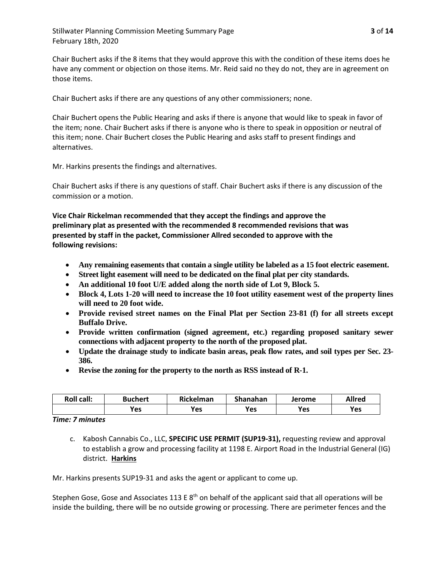Chair Buchert asks if the 8 items that they would approve this with the condition of these items does he have any comment or objection on those items. Mr. Reid said no they do not, they are in agreement on those items.

Chair Buchert asks if there are any questions of any other commissioners; none.

Chair Buchert opens the Public Hearing and asks if there is anyone that would like to speak in favor of the item; none. Chair Buchert asks if there is anyone who is there to speak in opposition or neutral of this item; none. Chair Buchert closes the Public Hearing and asks staff to present findings and alternatives.

Mr. Harkins presents the findings and alternatives.

Chair Buchert asks if there is any questions of staff. Chair Buchert asks if there is any discussion of the commission or a motion.

**Vice Chair Rickelman recommended that they accept the findings and approve the preliminary plat as presented with the recommended 8 recommended revisions that was presented by staff in the packet, Commissioner Allred seconded to approve with the following revisions:**

- **Any remaining easements that contain a single utility be labeled as a 15 foot electric easement.**
- **Street light easement will need to be dedicated on the final plat per city standards.**
- **An additional 10 foot U/E added along the north side of Lot 9, Block 5.**
- **Block 4, Lots 1-20 will need to increase the 10 foot utility easement west of the property lines will need to 20 foot wide.**
- **Provide revised street names on the Final Plat per Section 23-81 (f) for all streets except Buffalo Drive.**
- **Provide written confirmation (signed agreement, etc.) regarding proposed sanitary sewer connections with adjacent property to the north of the proposed plat.**
- **Update the drainage study to indicate basin areas, peak flow rates, and soil types per Sec. 23- 386.**
- **Revise the zoning for the property to the north as RSS instead of R-1.**

| <b>Roll call:</b> | <b>Buchert</b> | Rickelman | Shanahan | Jerome | <b>Allred</b> |
|-------------------|----------------|-----------|----------|--------|---------------|
|                   | <b>Yes</b>     | Yes       | Yes      | Yes    | Yes           |

*Time: 7 minutes*

c. Kabosh Cannabis Co., LLC, **SPECIFIC USE PERMIT (SUP19-31),** requesting review and approval to establish a grow and processing facility at 1198 E. Airport Road in the Industrial General (IG) district. **Harkins**

Mr. Harkins presents SUP19-31 and asks the agent or applicant to come up.

Stephen Gose, Gose and Associates 113 E  $8<sup>th</sup>$  on behalf of the applicant said that all operations will be inside the building, there will be no outside growing or processing. There are perimeter fences and the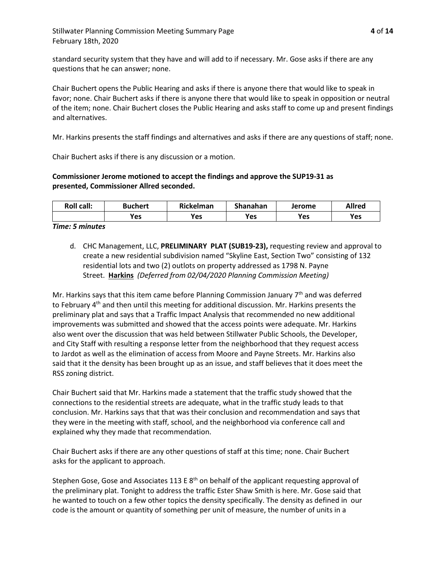standard security system that they have and will add to if necessary. Mr. Gose asks if there are any questions that he can answer; none.

Chair Buchert opens the Public Hearing and asks if there is anyone there that would like to speak in favor; none. Chair Buchert asks if there is anyone there that would like to speak in opposition or neutral of the item; none. Chair Buchert closes the Public Hearing and asks staff to come up and present findings and alternatives.

Mr. Harkins presents the staff findings and alternatives and asks if there are any questions of staff; none.

Chair Buchert asks if there is any discussion or a motion.

# **Commissioner Jerome motioned to accept the findings and approve the SUP19-31 as presented, Commissioner Allred seconded.**

| <b>Roll call:</b> | Buchert | <b>Rickelman</b> | Shanahan | Jerome | <b>Allred</b> |
|-------------------|---------|------------------|----------|--------|---------------|
|                   | Yes     | Yes              | Yes      | Yes    | Yes           |

### *Time: 5 minutes*

d. CHC Management, LLC, **PRELIMINARY PLAT (SUB19-23),** requesting review and approval to create a new residential subdivision named "Skyline East, Section Two" consisting of 132 residential lots and two (2) outlots on property addressed as 1798 N. Payne Street. **Harkins** *(Deferred from 02/04/2020 Planning Commission Meeting)*

Mr. Harkins says that this item came before Planning Commission January  $7<sup>th</sup>$  and was deferred to February 4<sup>th</sup> and then until this meeting for additional discussion. Mr. Harkins presents the preliminary plat and says that a Traffic Impact Analysis that recommended no new additional improvements was submitted and showed that the access points were adequate. Mr. Harkins also went over the discussion that was held between Stillwater Public Schools, the Developer, and City Staff with resulting a response letter from the neighborhood that they request access to Jardot as well as the elimination of access from Moore and Payne Streets. Mr. Harkins also said that it the density has been brought up as an issue, and staff believes that it does meet the RSS zoning district.

Chair Buchert said that Mr. Harkins made a statement that the traffic study showed that the connections to the residential streets are adequate, what in the traffic study leads to that conclusion. Mr. Harkins says that that was their conclusion and recommendation and says that they were in the meeting with staff, school, and the neighborhood via conference call and explained why they made that recommendation.

Chair Buchert asks if there are any other questions of staff at this time; none. Chair Buchert asks for the applicant to approach.

Stephen Gose, Gose and Associates 113 E  $8<sup>th</sup>$  on behalf of the applicant requesting approval of the preliminary plat. Tonight to address the traffic Ester Shaw Smith is here. Mr. Gose said that he wanted to touch on a few other topics the density specifically. The density as defined in our code is the amount or quantity of something per unit of measure, the number of units in a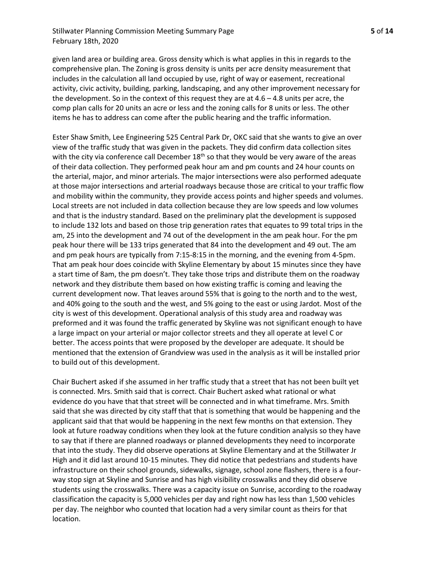# Stillwater Planning Commission Meeting Summary Page **5** of **14** February 18th, 2020

given land area or building area. Gross density which is what applies in this in regards to the comprehensive plan. The Zoning is gross density is units per acre density measurement that includes in the calculation all land occupied by use, right of way or easement, recreational activity, civic activity, building, parking, landscaping, and any other improvement necessary for the development. So in the context of this request they are at 4.6 – 4.8 units per acre, the comp plan calls for 20 units an acre or less and the zoning calls for 8 units or less. The other items he has to address can come after the public hearing and the traffic information.

Ester Shaw Smith, Lee Engineering 525 Central Park Dr, OKC said that she wants to give an over view of the traffic study that was given in the packets. They did confirm data collection sites with the city via conference call December  $18<sup>th</sup>$  so that they would be very aware of the areas of their data collection. They performed peak hour am and pm counts and 24 hour counts on the arterial, major, and minor arterials. The major intersections were also performed adequate at those major intersections and arterial roadways because those are critical to your traffic flow and mobility within the community, they provide access points and higher speeds and volumes. Local streets are not included in data collection because they are low speeds and low volumes and that is the industry standard. Based on the preliminary plat the development is supposed to include 132 lots and based on those trip generation rates that equates to 99 total trips in the am, 25 into the development and 74 out of the development in the am peak hour. For the pm peak hour there will be 133 trips generated that 84 into the development and 49 out. The am and pm peak hours are typically from 7:15-8:15 in the morning, and the evening from 4-5pm. That am peak hour does coincide with Skyline Elementary by about 15 minutes since they have a start time of 8am, the pm doesn't. They take those trips and distribute them on the roadway network and they distribute them based on how existing traffic is coming and leaving the current development now. That leaves around 55% that is going to the north and to the west, and 40% going to the south and the west, and 5% going to the east or using Jardot. Most of the city is west of this development. Operational analysis of this study area and roadway was preformed and it was found the traffic generated by Skyline was not significant enough to have a large impact on your arterial or major collector streets and they all operate at level C or better. The access points that were proposed by the developer are adequate. It should be mentioned that the extension of Grandview was used in the analysis as it will be installed prior to build out of this development.

Chair Buchert asked if she assumed in her traffic study that a street that has not been built yet is connected. Mrs. Smith said that is correct. Chair Buchert asked what rational or what evidence do you have that that street will be connected and in what timeframe. Mrs. Smith said that she was directed by city staff that that is something that would be happening and the applicant said that that would be happening in the next few months on that extension. They look at future roadway conditions when they look at the future condition analysis so they have to say that if there are planned roadways or planned developments they need to incorporate that into the study. They did observe operations at Skyline Elementary and at the Stillwater Jr High and it did last around 10-15 minutes. They did notice that pedestrians and students have infrastructure on their school grounds, sidewalks, signage, school zone flashers, there is a fourway stop sign at Skyline and Sunrise and has high visibility crosswalks and they did observe students using the crosswalks. There was a capacity issue on Sunrise, according to the roadway classification the capacity is 5,000 vehicles per day and right now has less than 1,500 vehicles per day. The neighbor who counted that location had a very similar count as theirs for that location.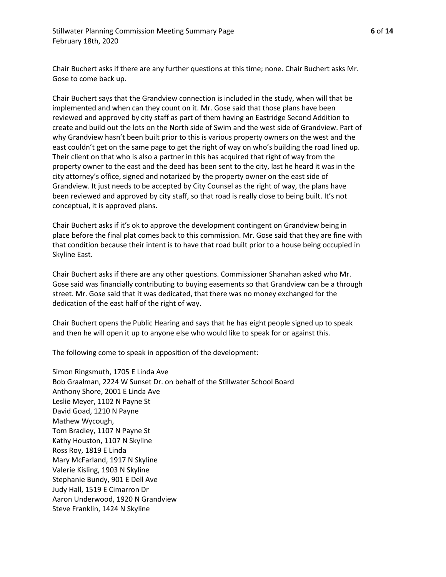Chair Buchert asks if there are any further questions at this time; none. Chair Buchert asks Mr. Gose to come back up.

Chair Buchert says that the Grandview connection is included in the study, when will that be implemented and when can they count on it. Mr. Gose said that those plans have been reviewed and approved by city staff as part of them having an Eastridge Second Addition to create and build out the lots on the North side of Swim and the west side of Grandview. Part of why Grandview hasn't been built prior to this is various property owners on the west and the east couldn't get on the same page to get the right of way on who's building the road lined up. Their client on that who is also a partner in this has acquired that right of way from the property owner to the east and the deed has been sent to the city, last he heard it was in the city attorney's office, signed and notarized by the property owner on the east side of Grandview. It just needs to be accepted by City Counsel as the right of way, the plans have been reviewed and approved by city staff, so that road is really close to being built. It's not conceptual, it is approved plans.

Chair Buchert asks if it's ok to approve the development contingent on Grandview being in place before the final plat comes back to this commission. Mr. Gose said that they are fine with that condition because their intent is to have that road built prior to a house being occupied in Skyline East.

Chair Buchert asks if there are any other questions. Commissioner Shanahan asked who Mr. Gose said was financially contributing to buying easements so that Grandview can be a through street. Mr. Gose said that it was dedicated, that there was no money exchanged for the dedication of the east half of the right of way.

Chair Buchert opens the Public Hearing and says that he has eight people signed up to speak and then he will open it up to anyone else who would like to speak for or against this.

The following come to speak in opposition of the development:

Simon Ringsmuth, 1705 E Linda Ave Bob Graalman, 2224 W Sunset Dr. on behalf of the Stillwater School Board Anthony Shore, 2001 E Linda Ave Leslie Meyer, 1102 N Payne St David Goad, 1210 N Payne Mathew Wycough, Tom Bradley, 1107 N Payne St Kathy Houston, 1107 N Skyline Ross Roy, 1819 E Linda Mary McFarland, 1917 N Skyline Valerie Kisling, 1903 N Skyline Stephanie Bundy, 901 E Dell Ave Judy Hall, 1519 E Cimarron Dr Aaron Underwood, 1920 N Grandview Steve Franklin, 1424 N Skyline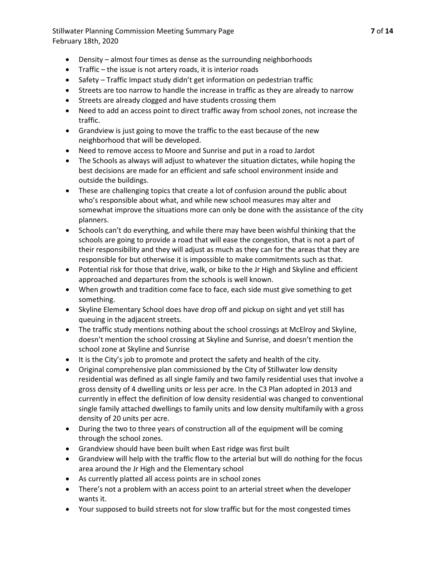Stillwater Planning Commission Meeting Summary Page **7** of **14** February 18th, 2020

- Density almost four times as dense as the surrounding neighborhoods
- Traffic the issue is not artery roads, it is interior roads
- Safety Traffic Impact study didn't get information on pedestrian traffic
- Streets are too narrow to handle the increase in traffic as they are already to narrow
- Streets are already clogged and have students crossing them
- Need to add an access point to direct traffic away from school zones, not increase the traffic.
- Grandview is just going to move the traffic to the east because of the new neighborhood that will be developed.
- Need to remove access to Moore and Sunrise and put in a road to Jardot
- The Schools as always will adjust to whatever the situation dictates, while hoping the best decisions are made for an efficient and safe school environment inside and outside the buildings.
- These are challenging topics that create a lot of confusion around the public about who's responsible about what, and while new school measures may alter and somewhat improve the situations more can only be done with the assistance of the city planners.
- Schools can't do everything, and while there may have been wishful thinking that the schools are going to provide a road that will ease the congestion, that is not a part of their responsibility and they will adjust as much as they can for the areas that they are responsible for but otherwise it is impossible to make commitments such as that.
- Potential risk for those that drive, walk, or bike to the Jr High and Skyline and efficient approached and departures from the schools is well known.
- When growth and tradition come face to face, each side must give something to get something.
- Skyline Elementary School does have drop off and pickup on sight and yet still has queuing in the adjacent streets.
- The traffic study mentions nothing about the school crossings at McElroy and Skyline, doesn't mention the school crossing at Skyline and Sunrise, and doesn't mention the school zone at Skyline and Sunrise
- It is the City's job to promote and protect the safety and health of the city.
- Original comprehensive plan commissioned by the City of Stillwater low density residential was defined as all single family and two family residential uses that involve a gross density of 4 dwelling units or less per acre. In the C3 Plan adopted in 2013 and currently in effect the definition of low density residential was changed to conventional single family attached dwellings to family units and low density multifamily with a gross density of 20 units per acre.
- During the two to three years of construction all of the equipment will be coming through the school zones.
- Grandview should have been built when East ridge was first built
- Grandview will help with the traffic flow to the arterial but will do nothing for the focus area around the Jr High and the Elementary school
- As currently platted all access points are in school zones
- There's not a problem with an access point to an arterial street when the developer wants it.
- Your supposed to build streets not for slow traffic but for the most congested times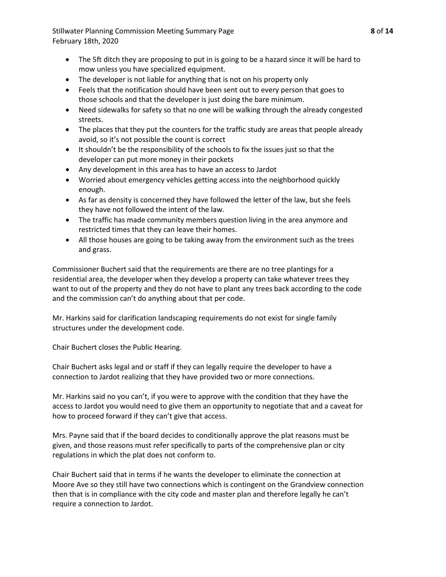Stillwater Planning Commission Meeting Summary Page **8** of **14** February 18th, 2020

- The 5ft ditch they are proposing to put in is going to be a hazard since it will be hard to mow unless you have specialized equipment.
- The developer is not liable for anything that is not on his property only
- Feels that the notification should have been sent out to every person that goes to those schools and that the developer is just doing the bare minimum.
- Need sidewalks for safety so that no one will be walking through the already congested streets.
- The places that they put the counters for the traffic study are areas that people already avoid, so it's not possible the count is correct
- It shouldn't be the responsibility of the schools to fix the issues just so that the developer can put more money in their pockets
- Any development in this area has to have an access to Jardot
- Worried about emergency vehicles getting access into the neighborhood quickly enough.
- As far as density is concerned they have followed the letter of the law, but she feels they have not followed the intent of the law.
- The traffic has made community members question living in the area anymore and restricted times that they can leave their homes.
- All those houses are going to be taking away from the environment such as the trees and grass.

Commissioner Buchert said that the requirements are there are no tree plantings for a residential area, the developer when they develop a property can take whatever trees they want to out of the property and they do not have to plant any trees back according to the code and the commission can't do anything about that per code.

Mr. Harkins said for clarification landscaping requirements do not exist for single family structures under the development code.

Chair Buchert closes the Public Hearing.

Chair Buchert asks legal and or staff if they can legally require the developer to have a connection to Jardot realizing that they have provided two or more connections.

Mr. Harkins said no you can't, if you were to approve with the condition that they have the access to Jardot you would need to give them an opportunity to negotiate that and a caveat for how to proceed forward if they can't give that access.

Mrs. Payne said that if the board decides to conditionally approve the plat reasons must be given, and those reasons must refer specifically to parts of the comprehensive plan or city regulations in which the plat does not conform to.

Chair Buchert said that in terms if he wants the developer to eliminate the connection at Moore Ave so they still have two connections which is contingent on the Grandview connection then that is in compliance with the city code and master plan and therefore legally he can't require a connection to Jardot.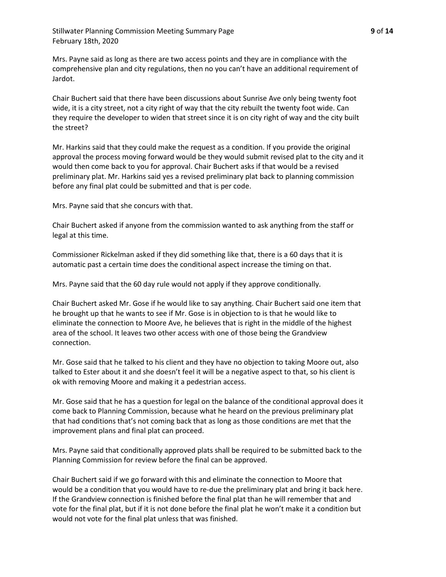Mrs. Payne said as long as there are two access points and they are in compliance with the comprehensive plan and city regulations, then no you can't have an additional requirement of Jardot.

Chair Buchert said that there have been discussions about Sunrise Ave only being twenty foot wide, it is a city street, not a city right of way that the city rebuilt the twenty foot wide. Can they require the developer to widen that street since it is on city right of way and the city built the street?

Mr. Harkins said that they could make the request as a condition. If you provide the original approval the process moving forward would be they would submit revised plat to the city and it would then come back to you for approval. Chair Buchert asks if that would be a revised preliminary plat. Mr. Harkins said yes a revised preliminary plat back to planning commission before any final plat could be submitted and that is per code.

Mrs. Payne said that she concurs with that.

Chair Buchert asked if anyone from the commission wanted to ask anything from the staff or legal at this time.

Commissioner Rickelman asked if they did something like that, there is a 60 days that it is automatic past a certain time does the conditional aspect increase the timing on that.

Mrs. Payne said that the 60 day rule would not apply if they approve conditionally.

Chair Buchert asked Mr. Gose if he would like to say anything. Chair Buchert said one item that he brought up that he wants to see if Mr. Gose is in objection to is that he would like to eliminate the connection to Moore Ave, he believes that is right in the middle of the highest area of the school. It leaves two other access with one of those being the Grandview connection.

Mr. Gose said that he talked to his client and they have no objection to taking Moore out, also talked to Ester about it and she doesn't feel it will be a negative aspect to that, so his client is ok with removing Moore and making it a pedestrian access.

Mr. Gose said that he has a question for legal on the balance of the conditional approval does it come back to Planning Commission, because what he heard on the previous preliminary plat that had conditions that's not coming back that as long as those conditions are met that the improvement plans and final plat can proceed.

Mrs. Payne said that conditionally approved plats shall be required to be submitted back to the Planning Commission for review before the final can be approved.

Chair Buchert said if we go forward with this and eliminate the connection to Moore that would be a condition that you would have to re-due the preliminary plat and bring it back here. If the Grandview connection is finished before the final plat than he will remember that and vote for the final plat, but if it is not done before the final plat he won't make it a condition but would not vote for the final plat unless that was finished.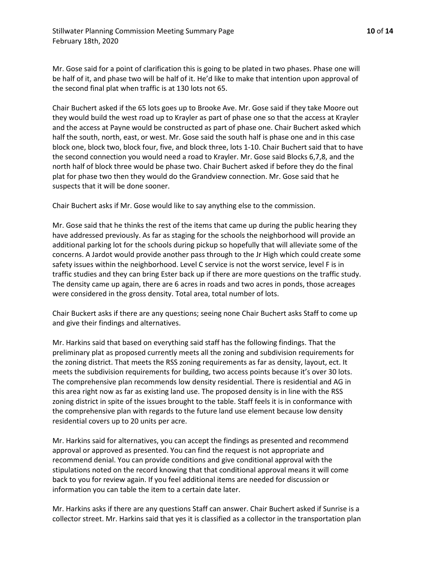Mr. Gose said for a point of clarification this is going to be plated in two phases. Phase one will be half of it, and phase two will be half of it. He'd like to make that intention upon approval of the second final plat when traffic is at 130 lots not 65.

Chair Buchert asked if the 65 lots goes up to Brooke Ave. Mr. Gose said if they take Moore out they would build the west road up to Krayler as part of phase one so that the access at Krayler and the access at Payne would be constructed as part of phase one. Chair Buchert asked which half the south, north, east, or west. Mr. Gose said the south half is phase one and in this case block one, block two, block four, five, and block three, lots 1-10. Chair Buchert said that to have the second connection you would need a road to Krayler. Mr. Gose said Blocks 6,7,8, and the north half of block three would be phase two. Chair Buchert asked if before they do the final plat for phase two then they would do the Grandview connection. Mr. Gose said that he suspects that it will be done sooner.

Chair Buchert asks if Mr. Gose would like to say anything else to the commission.

Mr. Gose said that he thinks the rest of the items that came up during the public hearing they have addressed previously. As far as staging for the schools the neighborhood will provide an additional parking lot for the schools during pickup so hopefully that will alleviate some of the concerns. A Jardot would provide another pass through to the Jr High which could create some safety issues within the neighborhood. Level C service is not the worst service, level F is in traffic studies and they can bring Ester back up if there are more questions on the traffic study. The density came up again, there are 6 acres in roads and two acres in ponds, those acreages were considered in the gross density. Total area, total number of lots.

Chair Buckert asks if there are any questions; seeing none Chair Buchert asks Staff to come up and give their findings and alternatives.

Mr. Harkins said that based on everything said staff has the following findings. That the preliminary plat as proposed currently meets all the zoning and subdivision requirements for the zoning district. That meets the RSS zoning requirements as far as density, layout, ect. It meets the subdivision requirements for building, two access points because it's over 30 lots. The comprehensive plan recommends low density residential. There is residential and AG in this area right now as far as existing land use. The proposed density is in line with the RSS zoning district in spite of the issues brought to the table. Staff feels it is in conformance with the comprehensive plan with regards to the future land use element because low density residential covers up to 20 units per acre.

Mr. Harkins said for alternatives, you can accept the findings as presented and recommend approval or approved as presented. You can find the request is not appropriate and recommend denial. You can provide conditions and give conditional approval with the stipulations noted on the record knowing that that conditional approval means it will come back to you for review again. If you feel additional items are needed for discussion or information you can table the item to a certain date later.

Mr. Harkins asks if there are any questions Staff can answer. Chair Buchert asked if Sunrise is a collector street. Mr. Harkins said that yes it is classified as a collector in the transportation plan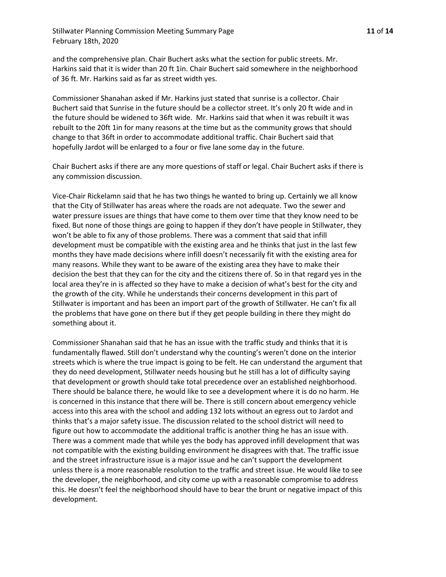Stillwater Planning Commission Meeting Summary Page **11** of **14** February 18th, 2020

and the comprehensive plan. Chair Buchert asks what the section for public streets. Mr. Harkins said that it is wider than 20 ft 1in. Chair Buchert said somewhere in the neighborhood of 36 ft. Mr. Harkins said as far as street width yes.

Commissioner Shanahan asked if Mr. Harkins just stated that sunrise is a collector. Chair Buchert said that Sunrise in the future should be a collector street. It's only 20 ft wide and in the future should be widened to 36ft wide. Mr. Harkins said that when it was rebuilt it was rebuilt to the 20ft 1in for many reasons at the time but as the community grows that should change to that 36ft in order to accommodate additional traffic. Chair Buchert said that hopefully Jardot will be enlarged to a four or five lane some day in the future.

Chair Buchert asks if there are any more questions of staff or legal. Chair Buchert asks if there is any commission discussion.

Vice-Chair Rickelamn said that he has two things he wanted to bring up. Certainly we all know that the City of Stillwater has areas where the roads are not adequate. Two the sewer and water pressure issues are things that have come to them over time that they know need to be fixed. But none of those things are going to happen if they don't have people in Stillwater, they won't be able to fix any of those problems. There was a comment that said that infill development must be compatible with the existing area and he thinks that just in the last few months they have made decisions where infill doesn't necessarily fit with the existing area for many reasons. While they want to be aware of the existing area they have to make their decision the best that they can for the city and the citizens there of. So in that regard yes in the local area they're in is affected so they have to make a decision of what's best for the city and the growth of the city. While he understands their concerns development in this part of Stillwater is important and has been an import part of the growth of Stillwater. He can't fix all the problems that have gone on there but if they get people building in there they might do something about it.

Commissioner Shanahan said that he has an issue with the traffic study and thinks that it is fundamentally flawed. Still don't understand why the counting's weren't done on the interior streets which is where the true impact is going to be felt. He can understand the argument that they do need development, Stillwater needs housing but he still has a lot of difficulty saying that development or growth should take total precedence over an established neighborhood. There should be balance there, he would like to see a development where it is do no harm. He is concerned in this instance that there will be. There is still concern about emergency vehicle access into this area with the school and adding 132 lots without an egress out to Jardot and thinks that's a major safety issue. The discussion related to the school district will need to figure out how to accommodate the additional traffic is another thing he has an issue with. There was a comment made that while yes the body has approved infill development that was not compatible with the existing building environment he disagrees with that. The traffic issue and the street infrastructure issue is a major issue and he can't support the development unless there is a more reasonable resolution to the traffic and street issue. He would like to see the developer, the neighborhood, and city come up with a reasonable compromise to address this. He doesn't feel the neighborhood should have to bear the brunt or negative impact of this development.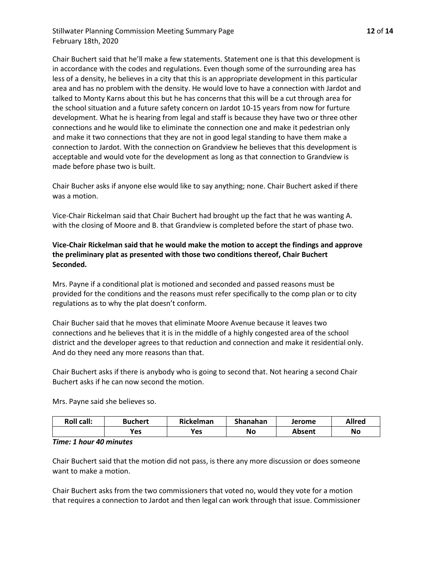Stillwater Planning Commission Meeting Summary Page **12** of **14** February 18th, 2020

Chair Buchert said that he'll make a few statements. Statement one is that this development is in accordance with the codes and regulations. Even though some of the surrounding area has less of a density, he believes in a city that this is an appropriate development in this particular area and has no problem with the density. He would love to have a connection with Jardot and talked to Monty Karns about this but he has concerns that this will be a cut through area for the school situation and a future safety concern on Jardot 10-15 years from now for furture development. What he is hearing from legal and staff is because they have two or three other connections and he would like to eliminate the connection one and make it pedestrian only and make it two connections that they are not in good legal standing to have them make a connection to Jardot. With the connection on Grandview he believes that this development is acceptable and would vote for the development as long as that connection to Grandview is made before phase two is built.

Chair Bucher asks if anyone else would like to say anything; none. Chair Buchert asked if there was a motion.

Vice-Chair Rickelman said that Chair Buchert had brought up the fact that he was wanting A. with the closing of Moore and B. that Grandview is completed before the start of phase two.

# **Vice-Chair Rickelman said that he would make the motion to accept the findings and approve the preliminary plat as presented with those two conditions thereof, Chair Buchert Seconded.**

Mrs. Payne if a conditional plat is motioned and seconded and passed reasons must be provided for the conditions and the reasons must refer specifically to the comp plan or to city regulations as to why the plat doesn't conform.

Chair Bucher said that he moves that eliminate Moore Avenue because it leaves two connections and he believes that it is in the middle of a highly congested area of the school district and the developer agrees to that reduction and connection and make it residential only. And do they need any more reasons than that.

Chair Buchert asks if there is anybody who is going to second that. Not hearing a second Chair Buchert asks if he can now second the motion.

Mrs. Payne said she believes so.

| <b>Roll call:</b> | <b>Buchert</b> | Rickelman | Shanahan | Jerome        | <b>Allred</b> |
|-------------------|----------------|-----------|----------|---------------|---------------|
|                   | Yes            | Yes       | No       | <b>Absent</b> | No            |

#### *Time: 1 hour 40 minutes*

Chair Buchert said that the motion did not pass, is there any more discussion or does someone want to make a motion.

Chair Buchert asks from the two commissioners that voted no, would they vote for a motion that requires a connection to Jardot and then legal can work through that issue. Commissioner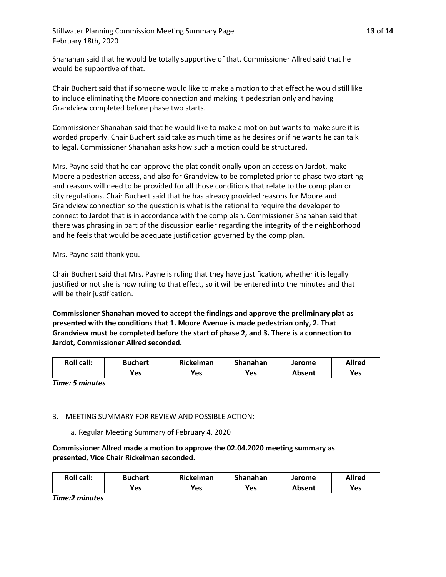Stillwater Planning Commission Meeting Summary Page **13** of **14** February 18th, 2020

Shanahan said that he would be totally supportive of that. Commissioner Allred said that he would be supportive of that.

Chair Buchert said that if someone would like to make a motion to that effect he would still like to include eliminating the Moore connection and making it pedestrian only and having Grandview completed before phase two starts.

Commissioner Shanahan said that he would like to make a motion but wants to make sure it is worded properly. Chair Buchert said take as much time as he desires or if he wants he can talk to legal. Commissioner Shanahan asks how such a motion could be structured.

Mrs. Payne said that he can approve the plat conditionally upon an access on Jardot, make Moore a pedestrian access, and also for Grandview to be completed prior to phase two starting and reasons will need to be provided for all those conditions that relate to the comp plan or city regulations. Chair Buchert said that he has already provided reasons for Moore and Grandview connection so the question is what is the rational to require the developer to connect to Jardot that is in accordance with the comp plan. Commissioner Shanahan said that there was phrasing in part of the discussion earlier regarding the integrity of the neighborhood and he feels that would be adequate justification governed by the comp plan.

Mrs. Payne said thank you.

Chair Buchert said that Mrs. Payne is ruling that they have justification, whether it is legally justified or not she is now ruling to that effect, so it will be entered into the minutes and that will be their justification.

**Commissioner Shanahan moved to accept the findings and approve the preliminary plat as presented with the conditions that 1. Moore Avenue is made pedestrian only, 2. That Grandview must be completed before the start of phase 2, and 3. There is a connection to Jardot, Commissioner Allred seconded.** 

| <b>Roll call:</b> | Buchert    | Rickelman | Shanahan | Jerome | <b>Allred</b> |
|-------------------|------------|-----------|----------|--------|---------------|
|                   | <b>Yes</b> | Yes       | Yes      | Absent | Yes           |

*Time: 5 minutes*

## 3. MEETING SUMMARY FOR REVIEW AND POSSIBLE ACTION:

a. Regular Meeting Summary of February 4, 2020

**Commissioner Allred made a motion to approve the 02.04.2020 meeting summary as presented, Vice Chair Rickelman seconded.**

| <b>Roll call:</b> | Buchert | <b>Rickelman</b> | Shanahan | Jerome | <b>Allred</b> |
|-------------------|---------|------------------|----------|--------|---------------|
|                   | Yes     | Yes              | Yes      | Absent | Yes           |

*Time:2 minutes*